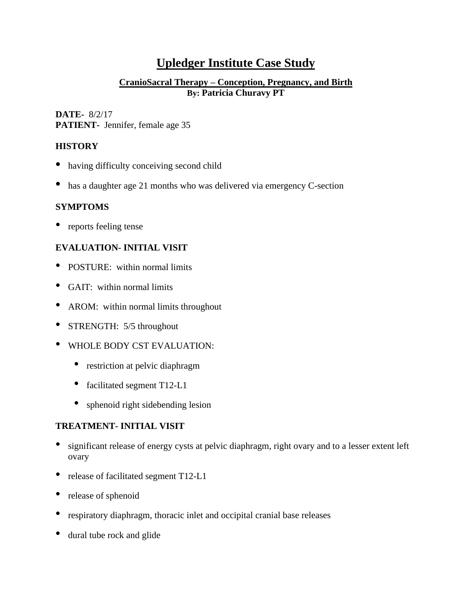# **Upledger Institute Case Study**

## **CranioSacral Therapy – Conception, Pregnancy, and Birth By: Patricia Churavy PT**

#### **DATE-** 8/2/17 **PATIENT-** Jennifer, female age 35

# **HISTORY**

- having difficulty conceiving second child
- has a daughter age 21 months who was delivered via emergency C-section

## **SYMPTOMS**

• reports feeling tense

# **EVALUATION- INITIAL VISIT**

- POSTURE: within normal limits
- GAIT: within normal limits
- AROM: within normal limits throughout
- STRENGTH: 5/5 throughout
- WHOLE BODY CST EVALUATION:
	- restriction at pelvic diaphragm
	- facilitated segment T12-L1
	- sphenoid right sidebending lesion

# **TREATMENT- INITIAL VISIT**

- significant release of energy cysts at pelvic diaphragm, right ovary and to <sup>a</sup> lesser extent left ovary
- release of facilitated segment T12-L1
- release of sphenoid
- respiratory diaphragm, thoracic inlet and occipital cranial base releases
- dural tube rock and glide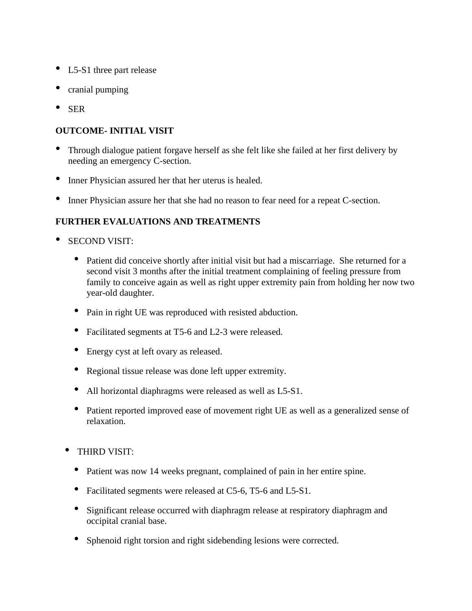- L5-S1 three part release
- cranial pumping
- SER

#### **OUTCOME- INITIAL VISIT**

- Through dialogue patient forgave herself as she felt like she failed at her first delivery by needing an emergency C-section.
- Inner Physician assured her that her uterus is healed.
- Inner Physician assure her that she had no reason to fear need for <sup>a</sup> repeat C-section.

## **FURTHER EVALUATIONS AND TREATMENTS**

- SECOND VISIT:
	- Patient did conceive shortly after initial visit but had <sup>a</sup> miscarriage. She returned for <sup>a</sup> second visit 3 months after the initial treatment complaining of feeling pressure from family to conceive again as well as right upper extremity pain from holding her now two year-old daughter.
	- Pain in right UE was reproduced with resisted abduction.
	- Facilitated segments at T5-6 and L2-3 were released.
	- Energy cyst at left ovary as released.
	- Regional tissue release was done left upper extremity.
	- All horizontal diaphragms were released as well as L5-S1.
	- Patient reported improved ease of movement right UE as well as a generalized sense of relaxation.
	- THIRD VISIT:
		- Patient was now 14 weeks pregnant, complained of pain in her entire spine.
		- Facilitated segments were released at C5-6, T5-6 and L5-S1.
		- Significant release occurred with diaphragm release at respiratory diaphragm and occipital cranial base.
		- Sphenoid right torsion and right sidebending lesions were corrected.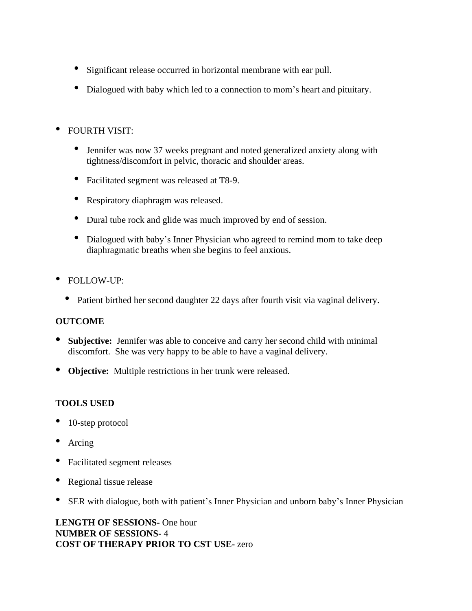- Significant release occurred in horizontal membrane with ear pull.
- Dialogued with baby which led to <sup>a</sup> connection to mom's heart and pituitary.

# • FOURTH VISIT:

- Jennifer was now 37 weeks pregnant and noted generalized anxiety along with tightness/discomfort in pelvic, thoracic and shoulder areas.
- Facilitated segment was released at T8-9.
- Respiratory diaphragm was released.
- Dural tube rock and glide was much improved by end of session.
- Dialogued with baby's Inner Physician who agreed to remind mom to take deep diaphragmatic breaths when she begins to feel anxious.
- FOLLOW-UP:
	- Patient birthed her second daughter 22 days after fourth visit via vaginal delivery.

#### **OUTCOME**

- **Subjective:** Jennifer was able to conceive and carry her second child with minimal discomfort. She was very happy to be able to have a vaginal delivery.
- **Objective:** Multiple restrictions in her trunk were released.

# **TOOLS USED**

- 10-step protocol
- Arcing
- Facilitated segment releases
- Regional tissue release
- SER with dialogue, both with patient's Inner Physician and unborn baby's Inner Physician

**LENGTH OF SESSIONS-** One hour **NUMBER OF SESSIONS-** 4 **COST OF THERAPY PRIOR TO CST USE-** zero